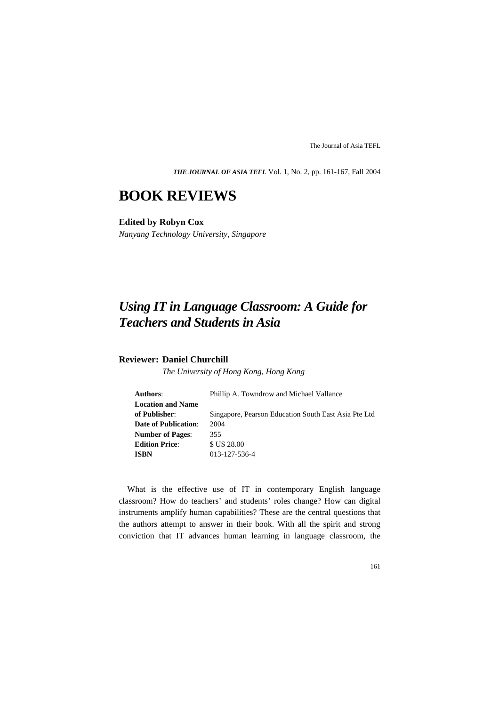*THE JOURNAL OF ASIA TEFL* Vol. 1, No. 2, pp. 161-167, Fall 2004

## **BOOK REVIEWS**

## **Edited by Robyn Cox**

*Nanyang Technology University, Singapore*

# *Using IT in Language Classroom: A Guide for Teachers and Students in Asia*

## **Reviewer: Daniel Churchill**

*The University of Hong Kong, Hong Kong*

| Authors:                    | Phillip A. Towndrow and Michael Vallance             |
|-----------------------------|------------------------------------------------------|
| <b>Location and Name</b>    |                                                      |
| of Publisher:               | Singapore, Pearson Education South East Asia Pte Ltd |
| <b>Date of Publication:</b> | 2004                                                 |
| <b>Number of Pages:</b>     | 355                                                  |
| <b>Edition Price:</b>       | \$ US 28.00                                          |
| <b>ISBN</b>                 | 013-127-536-4                                        |

What is the effective use of IT in contemporary English language classroom? How do teachers' and students' roles change? How can digital instruments amplify human capabilities? These are the central questions that the authors attempt to answer in their book. With all the spirit and strong conviction that IT advances human learning in language classroom, the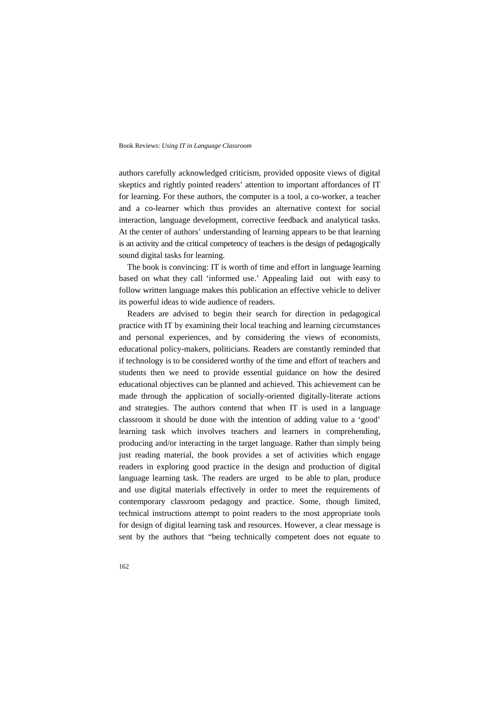#### Book Reviews: *Using IT in Language Classroom*

authors carefully acknowledged criticism, provided opposite views of digital skeptics and rightly pointed readers' attention to important affordances of IT for learning. For these authors, the computer is a tool, a co-worker, a teacher and a co-learner which thus provides an alternative context for social interaction, language development, corrective feedback and analytical tasks. At the center of authors' understanding of learning appears to be that learning is an activity and the critical competency of teachers is the design of pedagogically sound digital tasks for learning.

The book is convincing: IT is worth of time and effort in language learning based on what they call 'informed use.' Appealing laid out with easy to follow written language makes this publication an effective vehicle to deliver its powerful ideas to wide audience of readers.

Readers are advised to begin their search for direction in pedagogical practice with IT by examining their local teaching and learning circumstances and personal experiences, and by considering the views of economists, educational policy-makers, politicians. Readers are constantly reminded that if technology is to be considered worthy of the time and effort of teachers and students then we need to provide essential guidance on how the desired educational objectives can be planned and achieved. This achievement can be made through the application of socially-oriented digitally-literate actions and strategies. The authors contend that when IT is used in a language classroom it should be done with the intention of adding value to a 'good' learning task which involves teachers and learners in comprehending, producing and/or interacting in the target language. Rather than simply being just reading material, the book provides a set of activities which engage readers in exploring good practice in the design and production of digital language learning task. The readers are urged to be able to plan, produce and use digital materials effectively in order to meet the requirements of contemporary classroom pedagogy and practice. Some, though limited, technical instructions attempt to point readers to the most appropriate tools for design of digital learning task and resources. However, a clear message is sent by the authors that "being technically competent does not equate to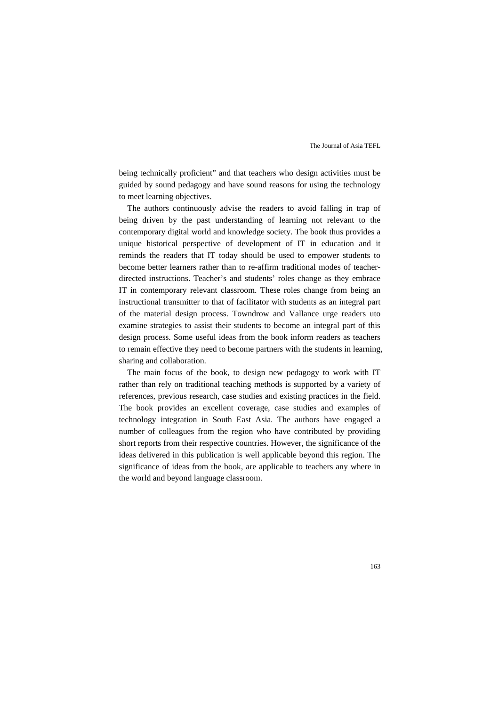being technically proficient" and that teachers who design activities must be guided by sound pedagogy and have sound reasons for using the technology to meet learning objectives.

The authors continuously advise the readers to avoid falling in trap of being driven by the past understanding of learning not relevant to the contemporary digital world and knowledge society. The book thus provides a unique historical perspective of development of IT in education and it reminds the readers that IT today should be used to empower students to become better learners rather than to re-affirm traditional modes of teacherdirected instructions. Teacher's and students' roles change as they embrace IT in contemporary relevant classroom. These roles change from being an instructional transmitter to that of facilitator with students as an integral part of the material design process. Towndrow and Vallance urge readers uto examine strategies to assist their students to become an integral part of this design process. Some useful ideas from the book inform readers as teachers to remain effective they need to become partners with the students in learning, sharing and collaboration.

The main focus of the book, to design new pedagogy to work with IT rather than rely on traditional teaching methods is supported by a variety of references, previous research, case studies and existing practices in the field. The book provides an excellent coverage, case studies and examples of technology integration in South East Asia. The authors have engaged a number of colleagues from the region who have contributed by providing short reports from their respective countries. However, the significance of the ideas delivered in this publication is well applicable beyond this region. The significance of ideas from the book, are applicable to teachers any where in the world and beyond language classroom.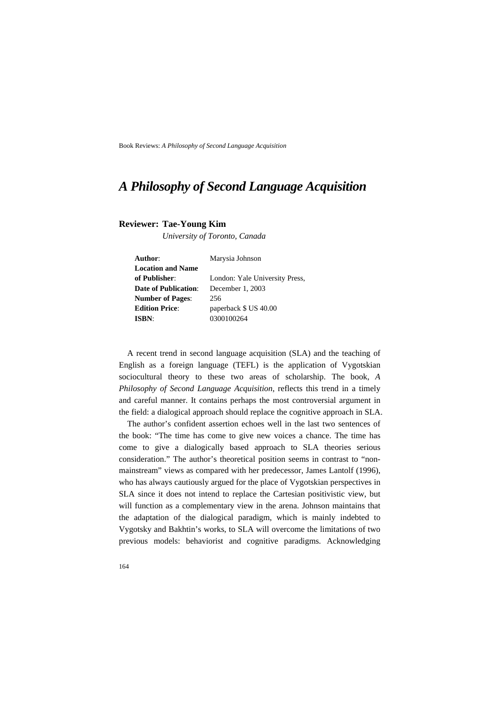Book Reviews: *A Philosophy of Second Language Acquisition* 

## *A Philosophy of Second Language Acquisition*

### **Reviewer: Tae-Young Kim**

*University of Toronto, Canada*

| Author:                  | Marysia Johnson                |
|--------------------------|--------------------------------|
| <b>Location and Name</b> |                                |
| of Publisher:            | London: Yale University Press, |
| Date of Publication:     | December 1, 2003               |
| <b>Number of Pages:</b>  | 256                            |
| <b>Edition Price:</b>    | paperback \$ US 40.00          |
| <b>ISBN:</b>             | 0300100264                     |

A recent trend in second language acquisition (SLA) and the teaching of English as a foreign language (TEFL) is the application of Vygotskian sociocultural theory to these two areas of scholarship. The book, *A Philosophy of Second Language Acquisition*, reflects this trend in a timely and careful manner. It contains perhaps the most controversial argument in the field: a dialogical approach should replace the cognitive approach in SLA.

The author's confident assertion echoes well in the last two sentences of the book: "The time has come to give new voices a chance. The time has come to give a dialogically based approach to SLA theories serious consideration." The author's theoretical position seems in contrast to "nonmainstream" views as compared with her predecessor, James Lantolf (1996), who has always cautiously argued for the place of Vygotskian perspectives in SLA since it does not intend to replace the Cartesian positivistic view, but will function as a complementary view in the arena. Johnson maintains that the adaptation of the dialogical paradigm, which is mainly indebted to Vygotsky and Bakhtin's works, to SLA will overcome the limitations of two previous models: behaviorist and cognitive paradigms. Acknowledging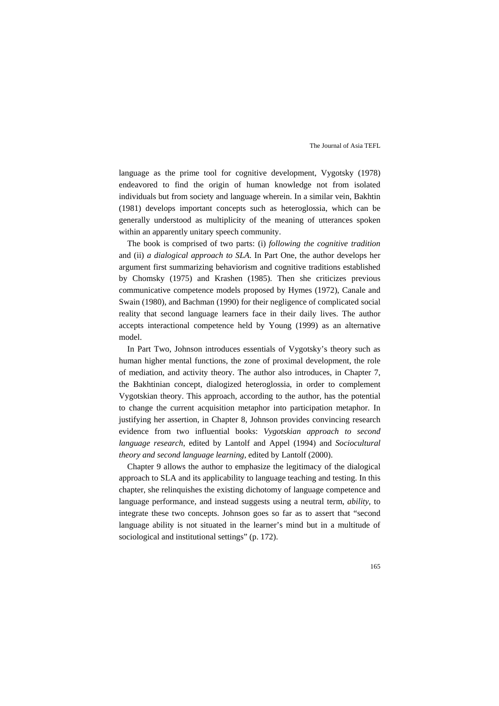language as the prime tool for cognitive development, Vygotsky (1978) endeavored to find the origin of human knowledge not from isolated individuals but from society and language wherein. In a similar vein, Bakhtin (1981) develops important concepts such as heteroglossia, which can be generally understood as multiplicity of the meaning of utterances spoken within an apparently unitary speech community.

The book is comprised of two parts: (i) *following the cognitive tradition* and (ii) *a dialogical approach to SLA*. In Part One, the author develops her argument first summarizing behaviorism and cognitive traditions established by Chomsky (1975) and Krashen (1985). Then she criticizes previous communicative competence models proposed by Hymes (1972), Canale and Swain (1980), and Bachman (1990) for their negligence of complicated social reality that second language learners face in their daily lives. The author accepts interactional competence held by Young (1999) as an alternative model.

In Part Two, Johnson introduces essentials of Vygotsky's theory such as human higher mental functions, the zone of proximal development, the role of mediation, and activity theory. The author also introduces, in Chapter 7, the Bakhtinian concept, dialogized heteroglossia, in order to complement Vygotskian theory. This approach, according to the author, has the potential to change the current acquisition metaphor into participation metaphor. In justifying her assertion, in Chapter 8, Johnson provides convincing research evidence from two influential books: *Vygotskian approach to second language research*, edited by Lantolf and Appel (1994) and *Sociocultural theory and second language learning*, edited by Lantolf (2000).

Chapter 9 allows the author to emphasize the legitimacy of the dialogical approach to SLA and its applicability to language teaching and testing. In this chapter, she relinquishes the existing dichotomy of language competence and language performance, and instead suggests using a neutral term, *ability*, to integrate these two concepts. Johnson goes so far as to assert that "second language ability is not situated in the learner's mind but in a multitude of sociological and institutional settings" (p. 172).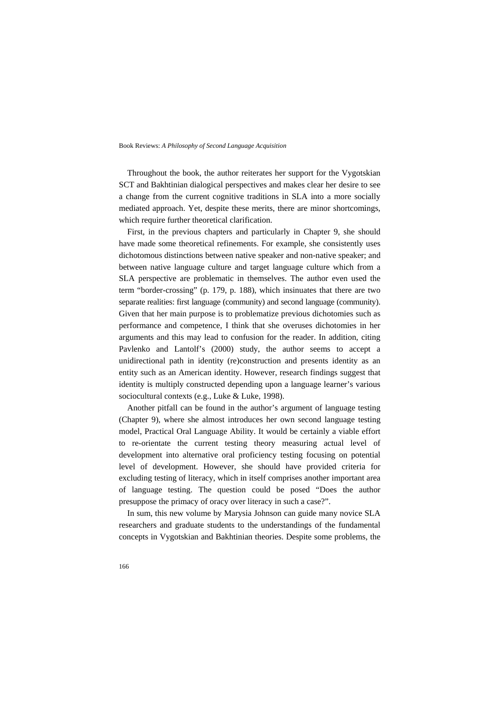#### Book Reviews: *A Philosophy of Second Language Acquisition*

Throughout the book, the author reiterates her support for the Vygotskian SCT and Bakhtinian dialogical perspectives and makes clear her desire to see a change from the current cognitive traditions in SLA into a more socially mediated approach. Yet, despite these merits, there are minor shortcomings, which require further theoretical clarification.

First, in the previous chapters and particularly in Chapter 9, she should have made some theoretical refinements. For example, she consistently uses dichotomous distinctions between native speaker and non-native speaker; and between native language culture and target language culture which from a SLA perspective are problematic in themselves. The author even used the term "border-crossing" (p. 179, p. 188), which insinuates that there are two separate realities: first language (community) and second language (community). Given that her main purpose is to problematize previous dichotomies such as performance and competence, I think that she overuses dichotomies in her arguments and this may lead to confusion for the reader. In addition, citing Pavlenko and Lantolf's (2000) study, the author seems to accept a unidirectional path in identity (re)construction and presents identity as an entity such as an American identity. However, research findings suggest that identity is multiply constructed depending upon a language learner's various sociocultural contexts (e.g., Luke & Luke, 1998).

Another pitfall can be found in the author's argument of language testing (Chapter 9), where she almost introduces her own second language testing model, Practical Oral Language Ability. It would be certainly a viable effort to re-orientate the current testing theory measuring actual level of development into alternative oral proficiency testing focusing on potential level of development. However, she should have provided criteria for excluding testing of literacy, which in itself comprises another important area of language testing. The question could be posed "Does the author presuppose the primacy of oracy over literacy in such a case?".

In sum, this new volume by Marysia Johnson can guide many novice SLA researchers and graduate students to the understandings of the fundamental concepts in Vygotskian and Bakhtinian theories. Despite some problems, the